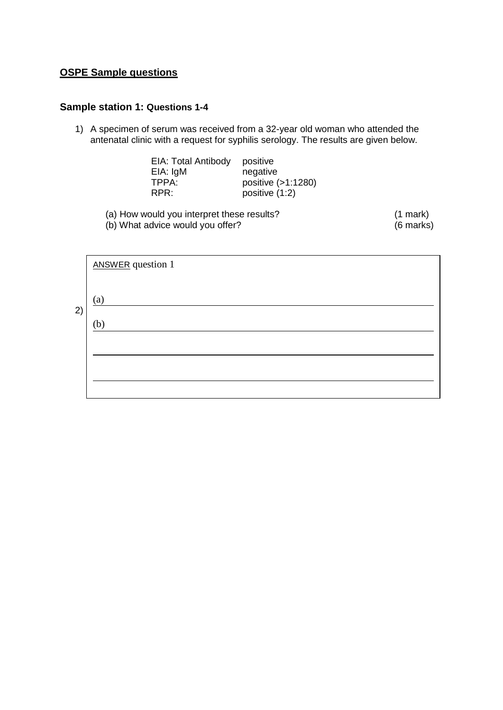## **OSPE Sample questions**

## **Sample station 1: Questions 1-4**

1) A specimen of serum was received from a 32-year old woman who attended the antenatal clinic with a request for syphilis serology. The results are given below.

| EIA: Total Antibody | positive           |
|---------------------|--------------------|
| EIA: IgM            | negative           |
| TPPA:               | positive (>1:1280) |
| RPR:                | positive (1:2)     |

(a) How would you interpret these results? (1 mark) (1 mark)<br>(b) What advice would you offer? (6 marks) (b) What advice would you offer?

|    | <b>ANSWER</b> question 1 |
|----|--------------------------|
|    | (a)                      |
| 2) | (b)                      |
|    |                          |
|    |                          |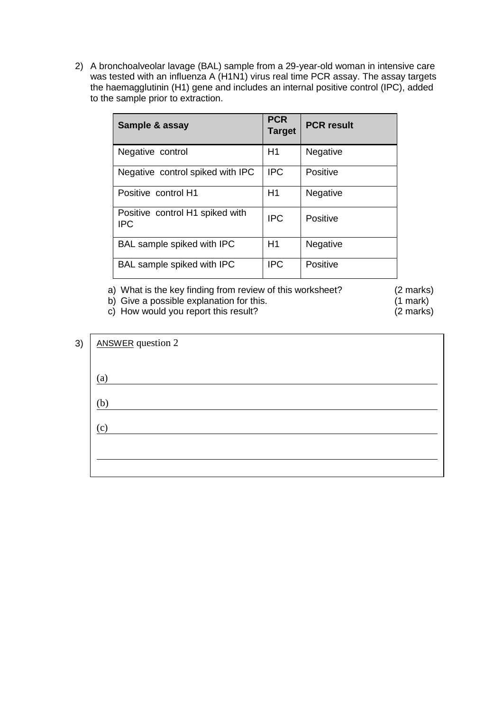2) A bronchoalveolar lavage (BAL) sample from a 29-year-old woman in intensive care was tested with an influenza A (H1N1) virus real time PCR assay. The assay targets the haemagglutinin (H1) gene and includes an internal positive control (IPC), added to the sample prior to extraction.

| Sample & assay                                            | <b>PCR</b><br><b>Target</b> | <b>PCR result</b> |
|-----------------------------------------------------------|-----------------------------|-------------------|
| Negative control                                          | H1                          | Negative          |
| Negative control spiked with IPC                          | <b>IPC</b>                  | Positive          |
| Positive control H1                                       | H1                          | Negative          |
| Positive control H <sub>1</sub> spiked with<br><b>IPC</b> | <b>IPC</b>                  | Positive          |
| BAL sample spiked with IPC                                | H1                          | Negative          |
| BAL sample spiked with IPC                                | <b>IPC</b>                  | Positive          |

a) What is the key finding from review of this worksheet? (2 marks)<br>b) Give a possible explanation for this. (1 mark)

b) Give a possible explanation for this. (1 mark) (1 mark) (2 marks) (2 marks)

 $\overline{c}$ ) How would you report this result?

| 3) | <b>ANSWER</b> question 2   |
|----|----------------------------|
|    | (a)                        |
|    | (b)                        |
|    | $\left( \mathrm{c}\right)$ |
|    |                            |
|    |                            |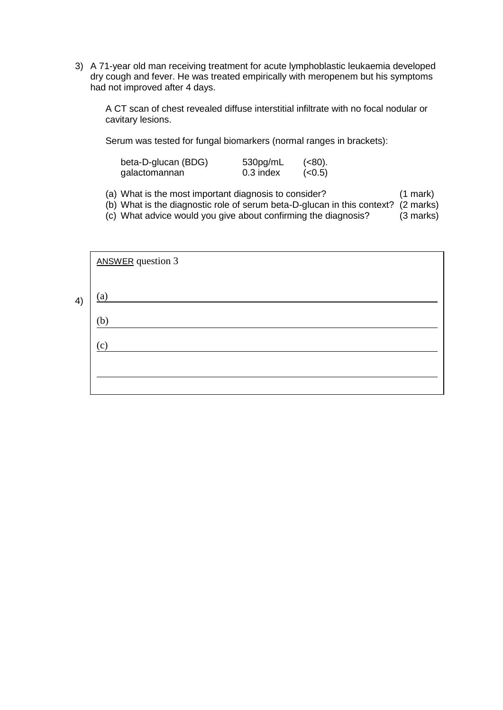3) A 71-year old man receiving treatment for acute lymphoblastic leukaemia developed dry cough and fever. He was treated empirically with meropenem but his symptoms had not improved after 4 days.

A CT scan of chest revealed diffuse interstitial infiltrate with no focal nodular or cavitary lesions.

Serum was tested for fungal biomarkers (normal ranges in brackets):

| beta-D-glucan (BDG) | 530pg/mL  | (< 80). |
|---------------------|-----------|---------|
| galactomannan       | 0.3 index | (< 0.5) |

(a) What is the most important diagnosis to consider? (1 mark)

(b) What is the diagnostic role of serum beta-D-glucan in this context? (2 marks)

(c) What advice would you give about confirming the diagnosis? (3 marks)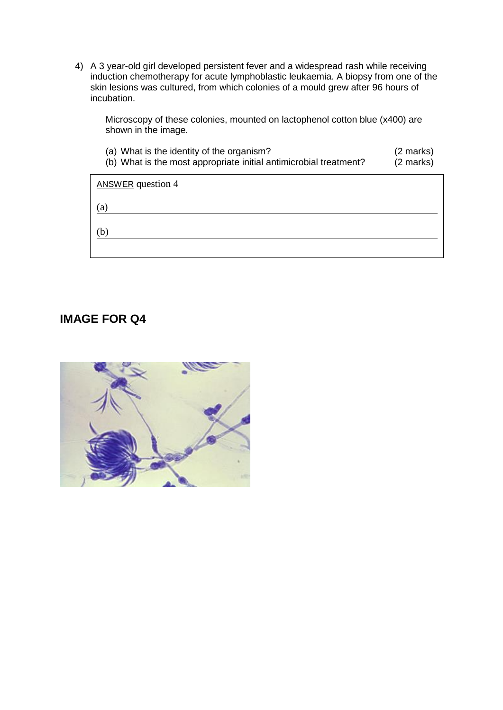4) A 3 year-old girl developed persistent fever and a widespread rash while receiving induction chemotherapy for acute lymphoblastic leukaemia. A biopsy from one of the skin lesions was cultured, from which colonies of a mould grew after 96 hours of incubation.

Microscopy of these colonies, mounted on lactophenol cotton blue (x400) are shown in the image.

| (a) What is the identity of the organism?<br>(b) What is the most appropriate initial antimicrobial treatment? | (2 marks)<br>(2 marks) |
|----------------------------------------------------------------------------------------------------------------|------------------------|
| <b>ANSWER</b> question 4                                                                                       |                        |
| (a)                                                                                                            |                        |
| b                                                                                                              |                        |
|                                                                                                                |                        |

## **IMAGE FOR Q4**

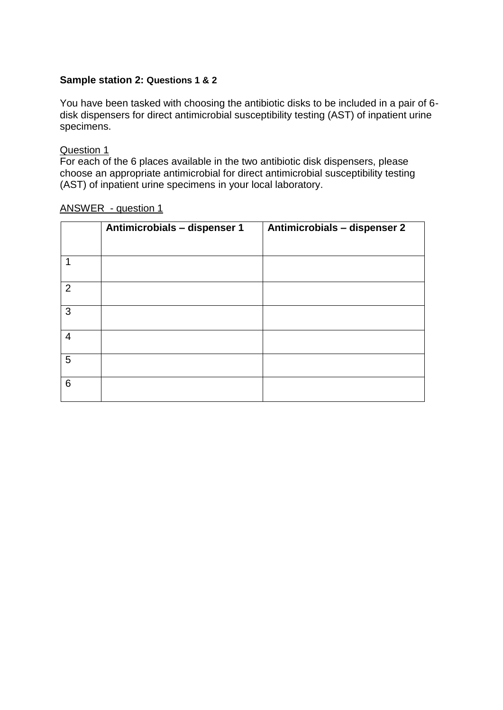## **Sample station 2: Questions 1 & 2**

You have been tasked with choosing the antibiotic disks to be included in a pair of 6 disk dispensers for direct antimicrobial susceptibility testing (AST) of inpatient urine specimens.

Question 1

For each of the 6 places available in the two antibiotic disk dispensers, please choose an appropriate antimicrobial for direct antimicrobial susceptibility testing (AST) of inpatient urine specimens in your local laboratory.

|   | Antimicrobials - dispenser 1 | Antimicrobials - dispenser 2 |
|---|------------------------------|------------------------------|
|   |                              |                              |
|   |                              |                              |
| 2 |                              |                              |
| 3 |                              |                              |
| 4 |                              |                              |
| 5 |                              |                              |
| 6 |                              |                              |

ANSWER - question 1